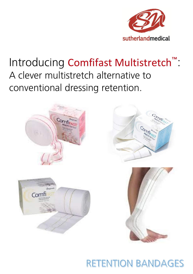

## Introducing Comfifast Multistretch<sup>™</sup>: A clever multistretch alternative to conventional dressing retention.



**RETENTION BANDAGES**